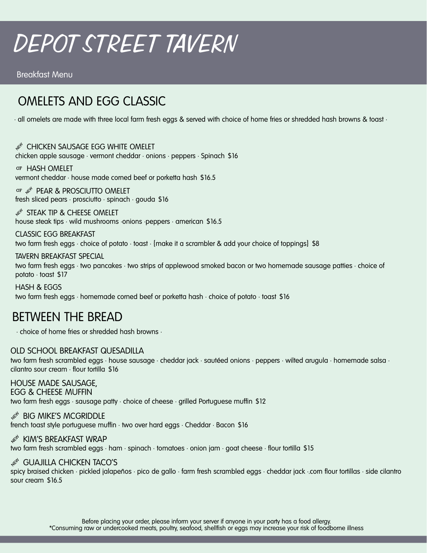# DEPOT STREET TAVERN

Breakfast Menu

# OMELETS AND EGG CLASSIC

• all omelets are made with three local farm fresh eggs & served with choice of home fries or shredded hash browns & toast •

 $\operatorname{\mathscr{B}}^{\!\!\circ}$  Chicken sausage egg white omelet chicken apple sausage • vermont cheddar • onions • peppers • Spinach \$16

HASH OMELET vermont cheddar • house made corned beef or porketta hash \$16.5

GF  $\mathcal{L}^{\text{N}}$  PEAR & PROSCIUTTO OMELET fresh sliced pears • prosciutto • spinach • gouda \$16

 $\operatorname{\mathscr{F}}$  steak tip & cheese omelet house steak tips • wild mushrooms •onions •peppers • american \$16.5

CLASSIC EGG BREAKFAST two farm fresh eggs • choice of potato • toast • {make it a scrambler & add your choice of toppings} \$8

TAVERN BREAKFAST SPECIAL

two farm fresh eggs • two pancakes • two strips of applewood smoked bacon or two homemade sausage patties • choice of potato • toast \$17

HASH & EGGS two farm fresh eggs • homemade corned beef or porketta hash • choice of potato • toast \$16

### BETWEEN THE BREAD

• choice of home fries or shredded hash browns •

#### OLD SCHOOL BREAKFAST QUESADILLA

two farm fresh scrambled eggs • house sausage • cheddar jack • sautéed onions • peppers • wilted arugula • homemade salsa • cilantro sour cream • flour tortilla \$16

#### HOUSE MADE SAUSAGE,

EGG & CHEESE MUFFIN

two farm fresh eggs • sausage patty • choice of cheese • grilled Portuguese muffin \$12

#### $\mathcal{A}^{\!\! \times \!\!}$  big mike's mcGriddle

french toast style portuguese muffin • two over hard eggs • Cheddar • Bacon \$16

#### $\mathscr{A} \cong \mathsf{KIM}$ 'S BREAKFAST WRAP

two farm fresh scrambled eggs • ham • spinach • tomatoes • onion jam • goat cheese • flour tortilla \$15

#### $\mathcal{A}^{\mathcal{A}}$  GUAJILLA CHICKEN TACO'S

spicy braised chicken • pickled jalapeños • pico de gallo • farm fresh scrambled eggs • cheddar jack •.corn flour tortillas • side cilantro sour cream \$16.5